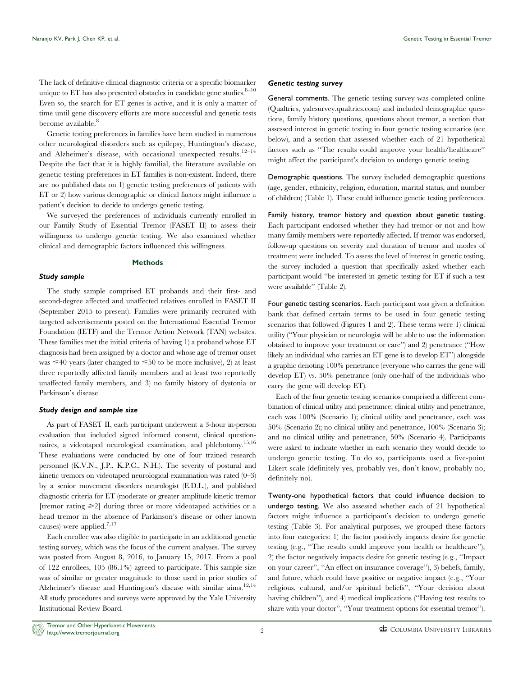The lack of definitive clinical diagnostic criteria or a specific biomarker unique to ET has also presented obstacles in candidate gene studies. $8-10$ Even so, the search for ET genes is active, and it is only a matter of time until gene discovery efforts are more successful and genetic tests become available.<sup>8</sup>

Genetic testing preferences in families have been studied in numerous other neurological disorders such as epilepsy, Huntington's disease, and Alzheimer's disease, with occasional unexpected results. $12-14$ Despite the fact that it is highly familial, the literature available on genetic testing preferences in ET families is non-existent. Indeed, there are no published data on 1) genetic testing preferences of patients with ET or 2) how various demographic or clinical factors might influence a patient's decision to decide to undergo genetic testing.

We surveyed the preferences of individuals currently enrolled in our Family Study of Essential Tremor (FASET II) to assess their willingness to undergo genetic testing. We also examined whether clinical and demographic factors influenced this willingness.

#### Methods

### Study sample

The study sample comprised ET probands and their first- and second-degree affected and unaffected relatives enrolled in FASET II (September 2015 to present). Families were primarily recruited with targeted advertisements posted on the International Essential Tremor Foundation (IETF) and the Tremor Action Network (TAN) websites. These families met the initial criteria of having 1) a proband whose ET diagnosis had been assigned by a doctor and whose age of tremor onset was  $\leq$ 40 years (later changed to  $\leq$ 50 to be more inclusive), 2) at least three reportedly affected family members and at least two reportedly unaffected family members, and 3) no family history of dystonia or Parkinson's disease.

### Study design and sample size

As part of FASET II, each participant underwent a 3-hour in-person evaluation that included signed informed consent, clinical questionnaires, a videotaped neurological examination, and phlebotomy.15,16 These evaluations were conducted by one of four trained research personnel (K.V.N., J.P., K.P.C., N.H.). The severity of postural and kinetic tremors on videotaped neurological examination was rated (0–3) by a senior movement disorders neurologist (E.D.L.), and published diagnostic criteria for ET (moderate or greater amplitude kinetic tremor [tremor rating  $\geq 2$ ] during three or more videotaped activities or a head tremor in the absence of Parkinson's disease or other known causes) were applied.<sup>7,17</sup>

Each enrollee was also eligible to participate in an additional genetic testing survey, which was the focus of the current analyses. The survey was posted from August 8, 2016, to January 15, 2017. From a pool of 122 enrollees, 105 (86.1%) agreed to participate. This sample size was of similar or greater magnitude to those used in prior studies of Alzheimer's disease and Huntington's disease with similar aims.<sup>12,14</sup> All study procedures and surveys were approved by the Yale University Institutional Review Board.

### Genetic testing survey

General comments. The genetic testing survey was completed online (Qualtrics, yalesurvey.qualtrics.com) and included demographic questions, family history questions, questions about tremor, a section that assessed interest in genetic testing in four genetic testing scenarios (see below), and a section that assessed whether each of 21 hypothetical factors such as ''The results could improve your health/healthcare'' might affect the participant's decision to undergo genetic testing.

Demographic questions. The survey included demographic questions (age, gender, ethnicity, religion, education, marital status, and number of children) ([Table 1](#page-2-0)). These could influence genetic testing preferences.

Family history, tremor history and question about genetic testing. Each participant endorsed whether they had tremor or not and how many family members were reportedly affected. If tremor was endorsed, follow-up questions on severity and duration of tremor and modes of treatment were included. To assess the level of interest in genetic testing, the survey included a question that specifically asked whether each participant would ''be interested in genetic testing for ET if such a test were available'' ([Table 2\)](#page-3-0).

Four genetic testing scenarios. Each participant was given a definition bank that defined certain terms to be used in four genetic testing scenarios that followed [\(Figures 1](#page-3-0) and [2\)](#page-4-0). These terms were 1) clinical utility (''Your physician or neurologist will be able to use the information obtained to improve your treatment or care'') and 2) penetrance (''How likely an individual who carries an ET gene is to develop ET'') alongside a graphic denoting 100% penetrance (everyone who carries the gene will develop ET) vs. 50% penetrance (only one-half of the individuals who carry the gene will develop ET).

Each of the four genetic testing scenarios comprised a different combination of clinical utility and penetrance: clinical utility and penetrance, each was 100% (Scenario 1); clinical utility and penetrance, each was 50% (Scenario 2); no clinical utility and penetrance, 100% (Scenario 3); and no clinical utility and penetrance, 50% (Scenario 4). Participants were asked to indicate whether in each scenario they would decide to undergo genetic testing. To do so, participants used a five-point Likert scale (definitely yes, probably yes, don't know, probably no, definitely no).

Twenty-one hypothetical factors that could influence decision to undergo testing. We also assessed whether each of 21 hypothetical factors might influence a participant's decision to undergo genetic testing [\(Table 3\)](#page-5-0). For analytical purposes, we grouped these factors into four categories: 1) the factor positively impacts desire for genetic testing (e.g., ''The results could improve your health or healthcare''), 2) the factor negatively impacts desire for genetic testing (e.g., ''Impact on your career'', ''An effect on insurance coverage''), 3) beliefs, family, and future, which could have positive or negative impact (e.g., ''Your religious, cultural, and/or spiritual beliefs'', ''Your decision about having children''), and 4) medical implications (''Having test results to share with your doctor'', ''Your treatment options for essential tremor'').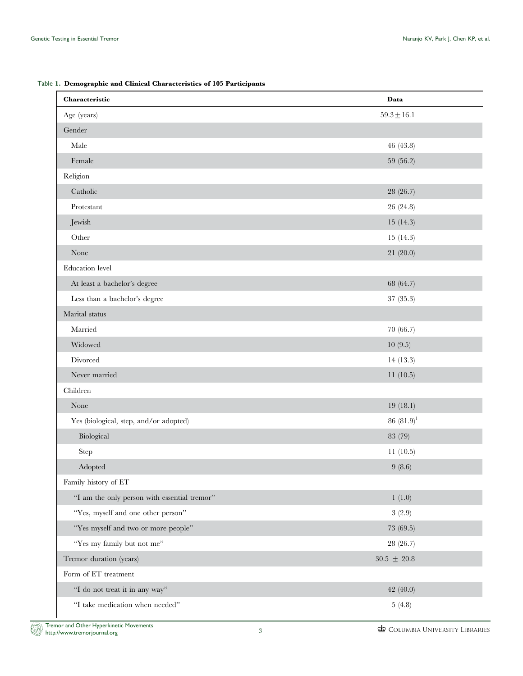<span id="page-2-0"></span>

| Table 1. Demographic and Clinical Characteristics of 105 Participants |  |  |  |
|-----------------------------------------------------------------------|--|--|--|
|                                                                       |  |  |  |

| Characteristic                               | Data            |
|----------------------------------------------|-----------------|
| Age (years)                                  | $59.3 \pm 16.1$ |
| Gender                                       |                 |
| Male                                         | 46 (43.8)       |
| Female                                       | 59 (56.2)       |
| Religion                                     |                 |
| Catholic                                     | 28 (26.7)       |
| Protestant                                   | 26 (24.8)       |
| Jewish                                       | 15(14.3)        |
| Other                                        | 15(14.3)        |
| None                                         | 21 (20.0)       |
| Education level                              |                 |
| At least a bachelor's degree                 | 68 (64.7)       |
| Less than a bachelor's degree                | 37(35.3)        |
| Marital status                               |                 |
| Married                                      | 70 (66.7)       |
| Widowed                                      | 10(9.5)         |
| Divorced                                     | 14(13.3)        |
| Never married                                | 11(10.5)        |
| Children                                     |                 |
| None                                         | 19(18.1)        |
| Yes (biological, step, and/or adopted)       | 86 $(81.9)^1$   |
| Biological                                   | 83 (79)         |
| Step                                         | 11(10.5)        |
| Adopted                                      | 9(8.6)          |
| Family history of ET                         |                 |
| "I am the only person with essential tremor" | 1(1.0)          |
| "Yes, myself and one other person"           | 3(2.9)          |
| "Yes myself and two or more people"          | 73 (69.5)       |
| "Yes my family but not me"                   | 28 (26.7)       |
| Tremor duration (years)                      | $30.5~\pm~20.8$ |
| Form of ET treatment                         |                 |
| "I do not treat it in any way"               | 42(40.0)        |
| "I take medication when needed"              | 5(4.8)          |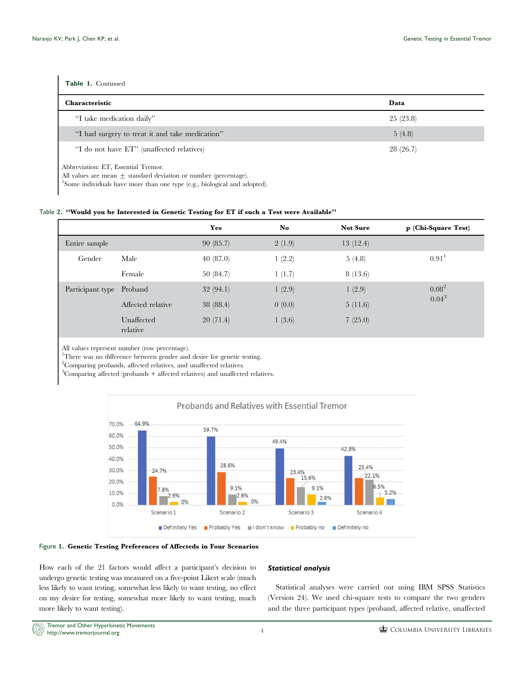<span id="page-3-0"></span>

| Table 1. Continued                              |          |
|-------------------------------------------------|----------|
| <b>Characteristic</b>                           | Data     |
| "I take medication daily"                       | 25(23.8) |
| "I had surgery to treat it and take medication" | 5(4.8)   |
| "I do not have ET" (unaffected relatives)       | 28(26.7) |

Abbreviation: ET, Essential Tremor.

All values are mean  $\pm$  standard deviation or number (percentage).

<sup>1</sup>Some individuals have more than one type (e.g., biological and adopted).

# Table 2. ''Would you be Interested in Genetic Testing for ET if such a Test were Available''

|                          |                        | Yes       | No     | <b>Not Sure</b> | p (Chi-Square Test) |
|--------------------------|------------------------|-----------|--------|-----------------|---------------------|
| Entire sample            |                        | 90(85.7)  | 2(1.9) | 13(12.4)        |                     |
| Gender                   | Male                   | 40(87.0)  | 1(2.2) | 5(4.8)          | 0.91 <sup>1</sup>   |
|                          | Female                 | 50(84.7)  | 1(1.7) | 8(13.6)         |                     |
| Participant type Proband |                        | 32(94.1)  | 1(2.9) | 1(2.9)          | $0.08^2$            |
|                          | Affected relative      | 38 (88.4) | 0(0.0) | 5(11.6)         | $0.04^{3}$          |
|                          | Unaffected<br>relative | 20(71.4)  | 1(3.6) | 7(25.0)         |                     |

All values represent number (row percentage).

<sup>1</sup>There was no difference between gender and desire for genetic testing.

2 Comparing probands, affected relatives, and unaffected relatives.

3 Comparing affected (probands + affected relatives) and unaffected relatives.





How each of the 21 factors would affect a participant's decision to undergo genetic testing was measured on a five-point Likert scale (much less likely to want testing, somewhat less likely to want testing, no effect on my desire for testing, somewhat more likely to want testing, much more likely to want testing).

# Statistical analysis

Statistical analyses were carried out using IBM SPSS Statistics (Version 24). We used chi-square tests to compare the two genders and the three participant types (proband, affected relative, unaffected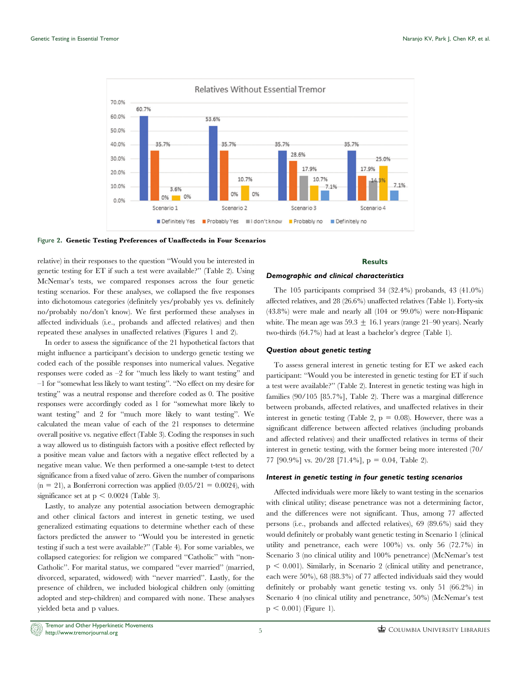<span id="page-4-0"></span>

Figure 2. Genetic Testing Preferences of Unaffecteds in Four Scenarios

relative) in their responses to the question ''Would you be interested in genetic testing for ET if such a test were available?'' ([Table 2](#page-3-0)). Using McNemar's tests, we compared responses across the four genetic testing scenarios. For these analyses, we collapsed the five responses into dichotomous categories (definitely yes/probably yes vs. definitely no/probably no/don't know). We first performed these analyses in affected individuals (i.e., probands and affected relatives) and then repeated these analyses in unaffected relatives ([Figures 1](#page-3-0) and 2).

In order to assess the significance of the 21 hypothetical factors that might influence a participant's decision to undergo genetic testing we coded each of the possible responses into numerical values. Negative responses were coded as –2 for ''much less likely to want testing'' and –1 for ''somewhat less likely to want testing''. ''No effect on my desire for testing'' was a neutral response and therefore coded as 0. The positive responses were accordingly coded as 1 for ''somewhat more likely to want testing'' and 2 for ''much more likely to want testing''. We calculated the mean value of each of the 21 responses to determine overall positive vs. negative effect [\(Table 3](#page-5-0)). Coding the responses in such a way allowed us to distinguish factors with a positive effect reflected by a positive mean value and factors with a negative effect reflected by a negative mean value. We then performed a one-sample t-test to detect significance from a fixed value of zero. Given the number of comparisons  $(n = 21)$ , a Bonferroni correction was applied  $(0.05/21 = 0.0024)$ , with significance set at  $p \le 0.0024$  [\(Table 3](#page-5-0)).

Lastly, to analyze any potential association between demographic and other clinical factors and interest in genetic testing, we used generalized estimating equations to determine whether each of these factors predicted the answer to ''Would you be interested in genetic testing if such a test were available?'' ([Table 4\)](#page-6-0). For some variables, we collapsed categories: for religion we compared ''Catholic'' with ''non-Catholic''. For marital status, we compared ''ever married'' (married, divorced, separated, widowed) with ''never married''. Lastly, for the presence of children, we included biological children only (omitting adopted and step-children) and compared with none. These analyses yielded beta and p values.

### **Results**

#### Demographic and clinical characteristics

The 105 participants comprised 34 (32.4%) probands, 43 (41.0%) affected relatives, and 28 (26.6%) unaffected relatives [\(Table 1\)](#page-2-0). Forty-six (43.8%) were male and nearly all (104 or 99.0%) were non-Hispanic white. The mean age was  $59.3 \pm 16.1$  years (range 21–90 years). Nearly two-thirds (64.7%) had at least a bachelor's degree [\(Table 1](#page-2-0)).

# Question about genetic testing

To assess general interest in genetic testing for ET we asked each participant: ''Would you be interested in genetic testing for ET if such a test were available?'' [\(Table 2](#page-3-0)). Interest in genetic testing was high in families (90/105 [85.7%], [Table 2\)](#page-3-0). There was a marginal difference between probands, affected relatives, and unaffected relatives in their interest in genetic testing ([Table 2,](#page-3-0)  $p = 0.08$ ). However, there was a significant difference between affected relatives (including probands and affected relatives) and their unaffected relatives in terms of their interest in genetic testing, with the former being more interested (70/ 77 [90.9%] vs. 20/28 [71.4%],  $p = 0.04$ , [Table 2](#page-3-0)).

### Interest in genetic testing in four genetic testing scenarios

Affected individuals were more likely to want testing in the scenarios with clinical utility; disease penetrance was not a determining factor, and the differences were not significant. Thus, among 77 affected persons (i.e., probands and affected relatives), 69 (89.6%) said they would definitely or probably want genetic testing in Scenario 1 (clinical utility and penetrance, each were 100%) vs. only 56 (72.7%) in Scenario 3 (no clinical utility and 100% penetrance) (McNemar's test  $p < 0.001$ ). Similarly, in Scenario 2 (clinical utility and penetrance, each were 50%), 68 (88.3%) of 77 affected individuals said they would definitely or probably want genetic testing vs. only 51 (66.2%) in Scenario 4 (no clinical utility and penetrance, 50%) (McNemar's test  $p < 0.001$  [\(Figure 1](#page-3-0)).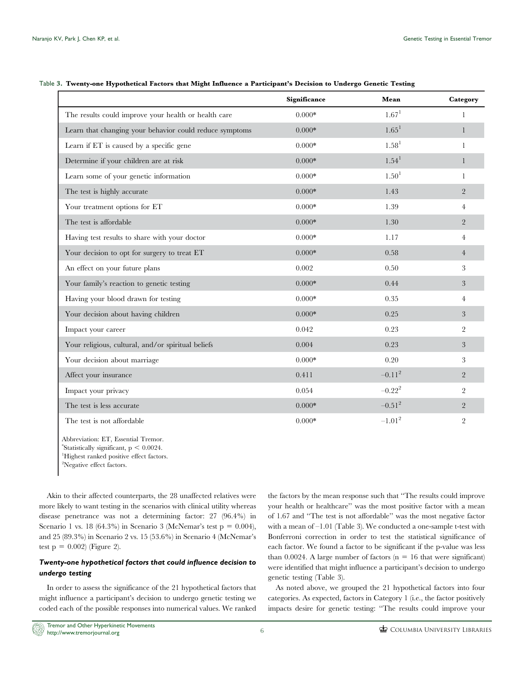|                                                         | Significance | Mean              | Category       |
|---------------------------------------------------------|--------------|-------------------|----------------|
| The results could improve your health or health care    | $0.000*$     | 1.67 <sup>1</sup> | $\mathbf{1}$   |
| Learn that changing your behavior could reduce symptoms | $0.000*$     | 1.65 <sup>1</sup> | $\mathbf{1}$   |
| Learn if ET is caused by a specific gene                | $0.000*$     | 1.58 <sup>1</sup> |                |
| Determine if your children are at risk                  | $0.000*$     | 1.54 <sup>1</sup> | 1              |
| Learn some of your genetic information                  | $0.000*$     | 1.50 <sup>1</sup> | 1              |
| The test is highly accurate                             | $0.000*$     | 1.43              | $\overline{2}$ |
| Your treatment options for ET                           | $0.000*$     | 1.39              | $\overline{4}$ |
| The test is affordable                                  | $0.000*$     | 1.30              | $\overline{2}$ |
| Having test results to share with your doctor           | $0.000*$     | 1.17              | 4              |
| Your decision to opt for surgery to treat ET            | $0.000*$     | 0.58              | $\overline{4}$ |
| An effect on your future plans                          | 0.002        | 0.50              | 3              |
| Your family's reaction to genetic testing               | $0.000*$     | 0.44              | 3              |
| Having your blood drawn for testing                     | $0.000*$     | 0.35              | 4              |
| Your decision about having children                     | $0.000*$     | 0.25              | 3              |
| Impact your career                                      | 0.042        | 0.23              | $\overline{2}$ |
| Your religious, cultural, and/or spiritual beliefs      | 0.004        | 0.23              | 3              |
| Your decision about marriage                            | $0.000*$     | 0.20              | 3              |
| Affect your insurance                                   | 0.411        | $-0.11^{2}$       | $\overline{2}$ |
| Impact your privacy                                     | 0.054        | $-0.22^{2}$       | $\overline{2}$ |
| The test is less accurate                               | $0.000*$     | $-0.51^{2}$       | $\overline{2}$ |
| The test is not affordable                              | $0.000*$     | $-1.01^{2}$       | $\overline{2}$ |

### <span id="page-5-0"></span>Table 3. Twenty-one Hypothetical Factors that Might Influence a Participant's Decision to Undergo Genetic Testing

Abbreviation: ET, Essential Tremor.  $*$ Statistically significant,  $p < 0.0024$ . 1 Highest ranked positive effect factors. <sup>2</sup>Negative effect factors.

Akin to their affected counterparts, the 28 unaffected relatives were more likely to want testing in the scenarios with clinical utility whereas disease penetrance was not a determining factor: 27 (96.4%) in Scenario 1 vs. 18 (64.3%) in Scenario 3 (McNemar's test  $p = 0.004$ ), and 25 (89.3%) in Scenario 2 vs. 15 (53.6%) in Scenario 4 (McNemar's test  $p = 0.002$ ) ([Figure 2](#page-4-0)).

# Twenty-one hypothetical factors that could influence decision to undergo testing

In order to assess the significance of the 21 hypothetical factors that might influence a participant's decision to undergo genetic testing we coded each of the possible responses into numerical values. We ranked

the factors by the mean response such that ''The results could improve your health or healthcare'' was the most positive factor with a mean of 1.67 and ''The test is not affordable'' was the most negative factor with a mean of –1.01 (Table 3). We conducted a one-sample t-test with Bonferroni correction in order to test the statistical significance of each factor. We found a factor to be significant if the p-value was less than 0.0024. A large number of factors  $(n = 16$  that were significant) were identified that might influence a participant's decision to undergo genetic testing (Table 3).

As noted above, we grouped the 21 hypothetical factors into four categories. As expected, factors in Category 1 (i.e., the factor positively impacts desire for genetic testing: ''The results could improve your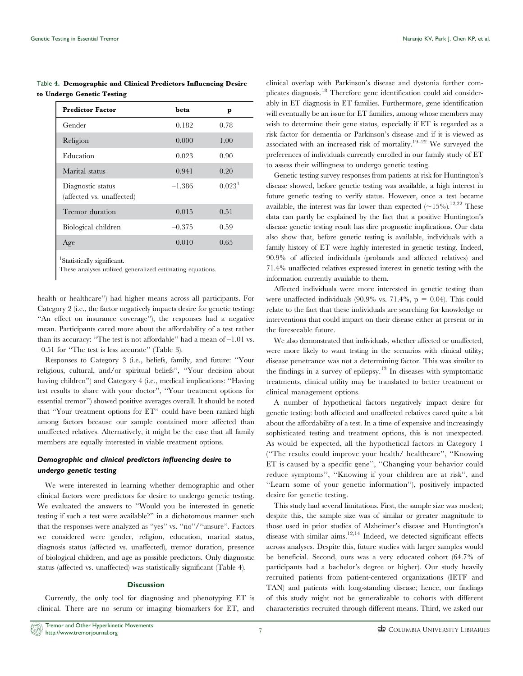<span id="page-6-0"></span>Table 4. Demographic and Clinical Predictors Influencing Desire to Undergo Genetic Testing

| <b>Predictor Factor</b>                        | beta     | p                  |
|------------------------------------------------|----------|--------------------|
| Gender                                         | 0.182    | 0.78               |
| Religion                                       | 0.000    | 1.00               |
| Education                                      | 0.023    | 0.90               |
| Marital status                                 | 0.941    | 0.20               |
| Diagnostic status<br>(affected vs. unaffected) | $-1.386$ | 0.023 <sup>1</sup> |
| Tremor duration                                | 0.015    | 0.51               |
| Biological children                            | $-0.375$ | 0.59               |
| Age                                            | 0.010    | 0.65               |
|                                                |          |                    |

1 Statistically significant.

These analyses utilized generalized estimating equations.

health or healthcare'') had higher means across all participants. For Category 2 (i.e., the factor negatively impacts desire for genetic testing: ''An effect on insurance coverage''), the responses had a negative mean. Participants cared more about the affordability of a test rather than its accuracy: "The test is not affordable" had a mean of  $-1.01$  vs. –0.51 for ''The test is less accurate'' [\(Table 3\)](#page-5-0).

Responses to Category 3 (i.e., beliefs, family, and future: ''Your religious, cultural, and/or spiritual beliefs'', ''Your decision about having children'') and Category 4 (i.e., medical implications: ''Having test results to share with your doctor'', ''Your treatment options for essential tremor'') showed positive averages overall. It should be noted that ''Your treatment options for ET'' could have been ranked high among factors because our sample contained more affected than unaffected relatives. Alternatively, it might be the case that all family members are equally interested in viable treatment options.

# Demographic and clinical predictors influencing desire to undergo genetic testing

We were interested in learning whether demographic and other clinical factors were predictors for desire to undergo genetic testing. We evaluated the answers to ''Would you be interested in genetic testing if such a test were available?'' in a dichotomous manner such that the responses were analyzed as ''yes'' vs. ''no''/''unsure''. Factors we considered were gender, religion, education, marital status, diagnosis status (affected vs. unaffected), tremor duration, presence of biological children, and age as possible predictors. Only diagnostic status (affected vs. unaffected) was statistically significant (Table 4).

#### **Discussion**

Currently, the only tool for diagnosing and phenotyping ET is clinical. There are no serum or imaging biomarkers for ET, and

clinical overlap with Parkinson's disease and dystonia further complicates diagnosis.<sup>18</sup> Therefore gene identification could aid considerably in ET diagnosis in ET families. Furthermore, gene identification will eventually be an issue for ET families, among whose members may wish to determine their gene status, especially if ET is regarded as a risk factor for dementia or Parkinson's disease and if it is viewed as associated with an increased risk of mortality.<sup>19–22</sup> We surveyed the preferences of individuals currently enrolled in our family study of ET to assess their willingness to undergo genetic testing.

Genetic testing survey responses from patients at risk for Huntington's disease showed, before genetic testing was available, a high interest in future genetic testing to verify status. However, once a test became available, the interest was far lower than expected  $(\sim]15\%$ .<sup>12,22</sup> These data can partly be explained by the fact that a positive Huntington's disease genetic testing result has dire prognostic implications. Our data also show that, before genetic testing is available, individuals with a family history of ET were highly interested in genetic testing. Indeed, 90.9% of affected individuals (probands and affected relatives) and 71.4% unaffected relatives expressed interest in genetic testing with the information currently available to them.

Affected individuals were more interested in genetic testing than were unaffected individuals  $(90.9\% \text{ vs. } 71.4\%, \text{ p} = 0.04)$ . This could relate to the fact that these individuals are searching for knowledge or interventions that could impact on their disease either at present or in the foreseeable future.

We also demonstrated that individuals, whether affected or unaffected, were more likely to want testing in the scenarios with clinical utility; disease penetrance was not a determining factor. This was similar to the findings in a survey of epilepsy.<sup>13</sup> In diseases with symptomatic treatments, clinical utility may be translated to better treatment or clinical management options.

A number of hypothetical factors negatively impact desire for genetic testing: both affected and unaffected relatives cared quite a bit about the affordability of a test. In a time of expensive and increasingly sophisticated testing and treatment options, this is not unexpected. As would be expected, all the hypothetical factors in Category 1 (''The results could improve your health/ healthcare'', ''Knowing ET is caused by a specific gene'', ''Changing your behavior could reduce symptoms'', ''Knowing if your children are at risk'', and ''Learn some of your genetic information''), positively impacted desire for genetic testing.

This study had several limitations. First, the sample size was modest; despite this, the sample size was of similar or greater magnitude to those used in prior studies of Alzheimer's disease and Huntington's disease with similar aims.<sup>12,14</sup> Indeed, we detected significant effects across analyses. Despite this, future studies with larger samples would be beneficial. Second, ours was a very educated cohort (64.7% of participants had a bachelor's degree or higher). Our study heavily recruited patients from patient-centered organizations (IETF and TAN) and patients with long-standing disease; hence, our findings of this study might not be generalizable to cohorts with different characteristics recruited through different means. Third, we asked our